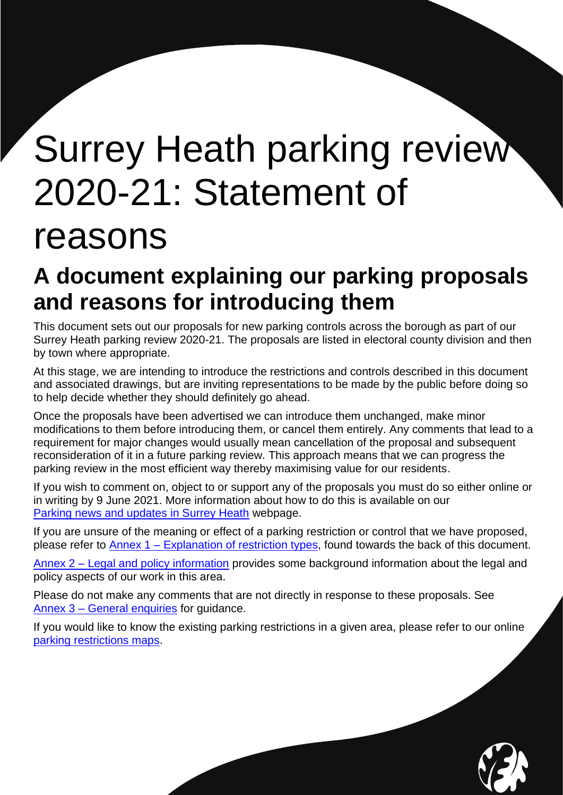# <span id="page-0-0"></span>Surrey Heath parking review 2020-21: Statement of

# reasons

# **A document explaining our parking proposals and reasons for introducing them**

This document sets out our proposals for new parking controls across the borough as part of our Surrey Heath parking review 2020-21. The proposals are listed in electoral county division and then by town where appropriate.

At this stage, we are intending to introduce the restrictions and controls described in this document and associated drawings, but are inviting representations to be made by the public before doing so to help decide whether they should definitely go ahead.

Once the proposals have been advertised we can introduce them unchanged, make minor modifications to them before introducing them, or cancel them entirely. Any comments that lead to a requirement for major changes would usually mean cancellation of the proposal and subsequent reconsideration of it in a future parking review. This approach means that we can progress the parking review in the most efficient way thereby maximising value for our residents.

If you wish to comment on, object to or support any of the proposals you must do so either online or in writing by 9 June 2021. More information about how to do this is available on our [Parking news and updates in Surrey Heath](https://www.surreycc.gov.uk/roads-and-transport/parking/local-news-and-updates/surrey-heath) webpage.

If you are unsure of the meaning or effect of a parking restriction or control that we have proposed, please refer to Annex 1 – [Explanation of restriction types,](#page-10-0) found towards the back of this document.

Annex 2 – [Legal and policy information](#page-12-0) provides some background information about the legal and policy aspects of our work in this area.

Please do not make any comments that are not directly in response to these proposals. See Annex 3 – [General enquiries](#page-14-0) for guidance.

If you would like to know the existing parking restrictions in a given area, please refer to our online [parking restrictions](https://www.surreycc.gov.uk/roads-and-transport/parking/restrictions-and-controls/interactive-map-of-parking-controls-in-surrey) maps.

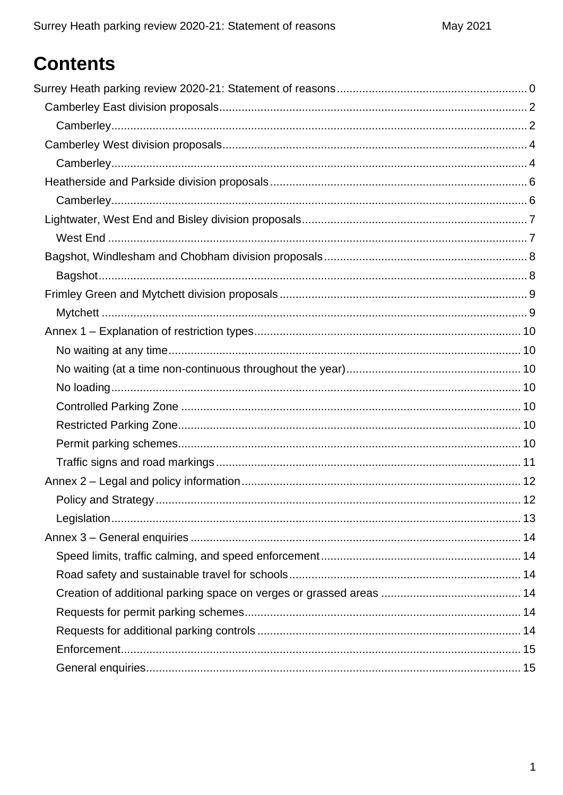# **Contents**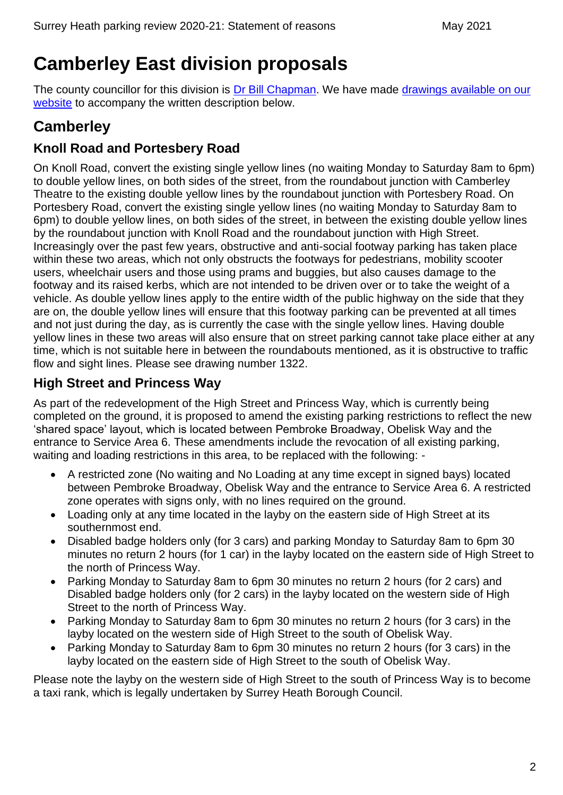# <span id="page-2-0"></span>**Camberley East division proposals**

The county councillor for this division is [Dr Bill Chapman.](https://mycouncil.surreycc.gov.uk/mgUserInfo.aspx?UID=129) We have made drawings available on our [website](https://www.surreycc.gov.uk/roads-and-transport/parking/local-news-and-updates/surrey-heath/surrey-heath-parking-review-2020-21) to accompany the written description below.

# <span id="page-2-1"></span>**Camberley**

### **Knoll Road and Portesbery Road**

On Knoll Road, convert the existing single yellow lines (no waiting Monday to Saturday 8am to 6pm) to double yellow lines, on both sides of the street, from the roundabout junction with Camberley Theatre to the existing double yellow lines by the roundabout junction with Portesbery Road. On Portesbery Road, convert the existing single yellow lines (no waiting Monday to Saturday 8am to 6pm) to double yellow lines, on both sides of the street, in between the existing double yellow lines by the roundabout junction with Knoll Road and the roundabout junction with High Street. Increasingly over the past few years, obstructive and anti-social footway parking has taken place within these two areas, which not only obstructs the footways for pedestrians, mobility scooter users, wheelchair users and those using prams and buggies, but also causes damage to the footway and its raised kerbs, which are not intended to be driven over or to take the weight of a vehicle. As double yellow lines apply to the entire width of the public highway on the side that they are on, the double yellow lines will ensure that this footway parking can be prevented at all times and not just during the day, as is currently the case with the single yellow lines. Having double yellow lines in these two areas will also ensure that on street parking cannot take place either at any time, which is not suitable here in between the roundabouts mentioned, as it is obstructive to traffic flow and sight lines. Please see drawing number 1322.

### **High Street and Princess Way**

As part of the redevelopment of the High Street and Princess Way, which is currently being completed on the ground, it is proposed to amend the existing parking restrictions to reflect the new 'shared space' layout, which is located between Pembroke Broadway, Obelisk Way and the entrance to Service Area 6. These amendments include the revocation of all existing parking, waiting and loading restrictions in this area, to be replaced with the following: -

- A restricted zone (No waiting and No Loading at any time except in signed bays) located between Pembroke Broadway, Obelisk Way and the entrance to Service Area 6. A restricted zone operates with signs only, with no lines required on the ground.
- Loading only at any time located in the layby on the eastern side of High Street at its southernmost end.
- Disabled badge holders only (for 3 cars) and parking Monday to Saturday 8am to 6pm 30 minutes no return 2 hours (for 1 car) in the layby located on the eastern side of High Street to the north of Princess Way.
- Parking Monday to Saturday 8am to 6pm 30 minutes no return 2 hours (for 2 cars) and Disabled badge holders only (for 2 cars) in the layby located on the western side of High Street to the north of Princess Way.
- Parking Monday to Saturday 8am to 6pm 30 minutes no return 2 hours (for 3 cars) in the layby located on the western side of High Street to the south of Obelisk Way.
- Parking Monday to Saturday 8am to 6pm 30 minutes no return 2 hours (for 3 cars) in the layby located on the eastern side of High Street to the south of Obelisk Way.

Please note the layby on the western side of High Street to the south of Princess Way is to become a taxi rank, which is legally undertaken by Surrey Heath Borough Council.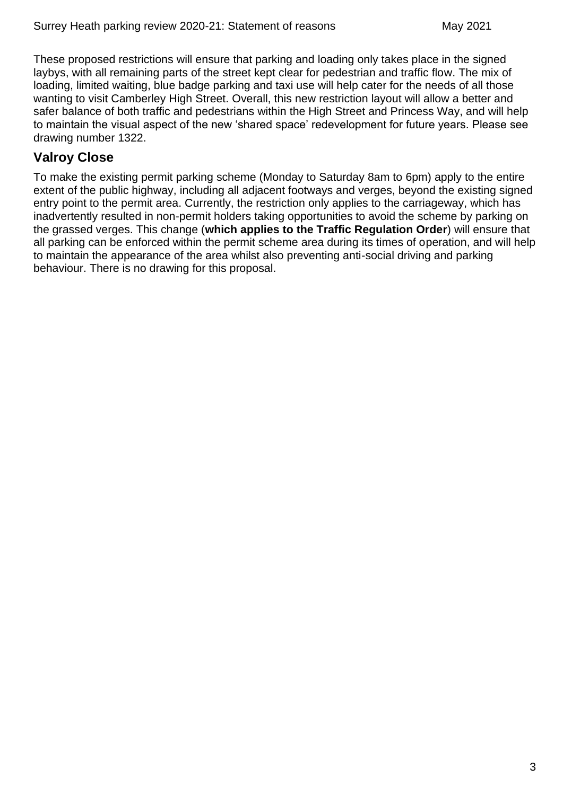These proposed restrictions will ensure that parking and loading only takes place in the signed laybys, with all remaining parts of the street kept clear for pedestrian and traffic flow. The mix of loading, limited waiting, blue badge parking and taxi use will help cater for the needs of all those wanting to visit Camberley High Street. Overall, this new restriction layout will allow a better and safer balance of both traffic and pedestrians within the High Street and Princess Way, and will help to maintain the visual aspect of the new 'shared space' redevelopment for future years. Please see drawing number 1322.

#### **Valroy Close**

To make the existing permit parking scheme (Monday to Saturday 8am to 6pm) apply to the entire extent of the public highway, including all adjacent footways and verges, beyond the existing signed entry point to the permit area. Currently, the restriction only applies to the carriageway, which has inadvertently resulted in non-permit holders taking opportunities to avoid the scheme by parking on the grassed verges. This change (**which applies to the Traffic Regulation Order**) will ensure that all parking can be enforced within the permit scheme area during its times of operation, and will help to maintain the appearance of the area whilst also preventing anti-social driving and parking behaviour. There is no drawing for this proposal.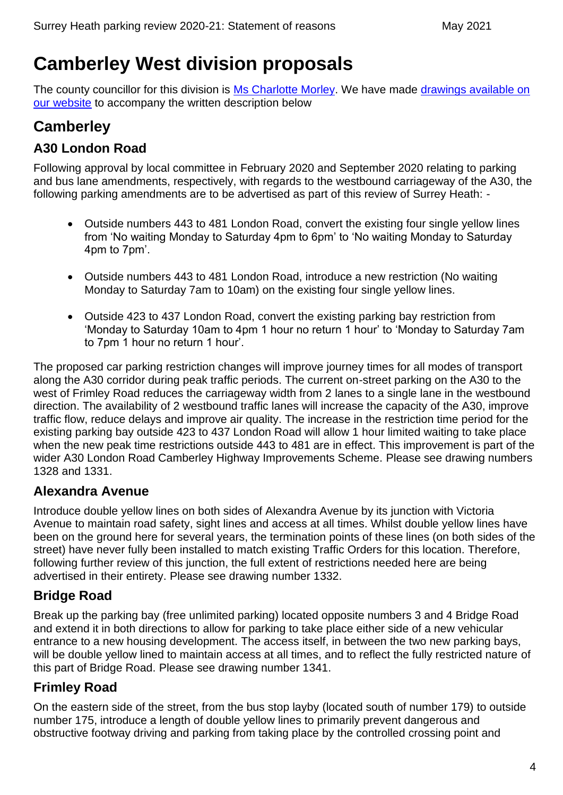# <span id="page-4-0"></span>**Camberley West division proposals**

The county councillor for this division is [Ms Charlotte Morley.](https://mycouncil.surreycc.gov.uk/mgUserInfo.aspx?UID=2374) We have made drawings available on [our website](https://www.surreycc.gov.uk/roads-and-transport/parking/local-news-and-updates/surrey-heath/surrey-heath-parking-review-2020-21) to accompany the written description below

# <span id="page-4-1"></span>**Camberley**

#### **A30 London Road**

Following approval by local committee in February 2020 and September 2020 relating to parking and bus lane amendments, respectively, with regards to the westbound carriageway of the A30, the following parking amendments are to be advertised as part of this review of Surrey Heath: -

- Outside numbers 443 to 481 London Road, convert the existing four single yellow lines from 'No waiting Monday to Saturday 4pm to 6pm' to 'No waiting Monday to Saturday 4pm to 7pm'.
- Outside numbers 443 to 481 London Road, introduce a new restriction (No waiting Monday to Saturday 7am to 10am) on the existing four single yellow lines.
- Outside 423 to 437 London Road, convert the existing parking bay restriction from 'Monday to Saturday 10am to 4pm 1 hour no return 1 hour' to 'Monday to Saturday 7am to 7pm 1 hour no return 1 hour'.

The proposed car parking restriction changes will improve journey times for all modes of transport along the A30 corridor during peak traffic periods. The current on-street parking on the A30 to the west of Frimley Road reduces the carriageway width from 2 lanes to a single lane in the westbound direction. The availability of 2 westbound traffic lanes will increase the capacity of the A30, improve traffic flow, reduce delays and improve air quality. The increase in the restriction time period for the existing parking bay outside 423 to 437 London Road will allow 1 hour limited waiting to take place when the new peak time restrictions outside 443 to 481 are in effect. This improvement is part of the wider A30 London Road Camberley Highway Improvements Scheme. Please see drawing numbers 1328 and 1331.

#### **Alexandra Avenue**

Introduce double yellow lines on both sides of Alexandra Avenue by its junction with Victoria Avenue to maintain road safety, sight lines and access at all times. Whilst double yellow lines have been on the ground here for several years, the termination points of these lines (on both sides of the street) have never fully been installed to match existing Traffic Orders for this location. Therefore, following further review of this junction, the full extent of restrictions needed here are being advertised in their entirety. Please see drawing number 1332.

#### **Bridge Road**

Break up the parking bay (free unlimited parking) located opposite numbers 3 and 4 Bridge Road and extend it in both directions to allow for parking to take place either side of a new vehicular entrance to a new housing development. The access itself, in between the two new parking bays, will be double yellow lined to maintain access at all times, and to reflect the fully restricted nature of this part of Bridge Road. Please see drawing number 1341.

#### **Frimley Road**

On the eastern side of the street, from the bus stop layby (located south of number 179) to outside number 175, introduce a length of double yellow lines to primarily prevent dangerous and obstructive footway driving and parking from taking place by the controlled crossing point and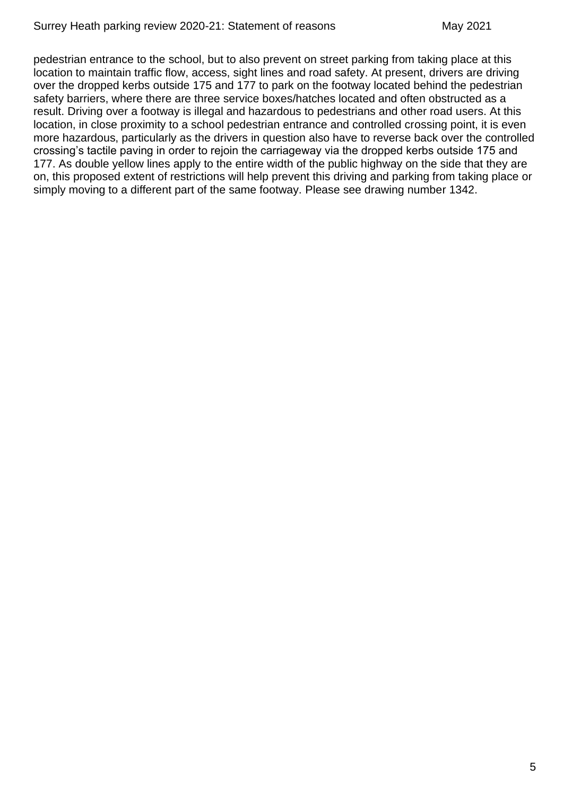pedestrian entrance to the school, but to also prevent on street parking from taking place at this location to maintain traffic flow, access, sight lines and road safety. At present, drivers are driving over the dropped kerbs outside 175 and 177 to park on the footway located behind the pedestrian safety barriers, where there are three service boxes/hatches located and often obstructed as a result. Driving over a footway is illegal and hazardous to pedestrians and other road users. At this location, in close proximity to a school pedestrian entrance and controlled crossing point, it is even more hazardous, particularly as the drivers in question also have to reverse back over the controlled crossing's tactile paving in order to rejoin the carriageway via the dropped kerbs outside 175 and 177. As double yellow lines apply to the entire width of the public highway on the side that they are on, this proposed extent of restrictions will help prevent this driving and parking from taking place or simply moving to a different part of the same footway. Please see drawing number 1342.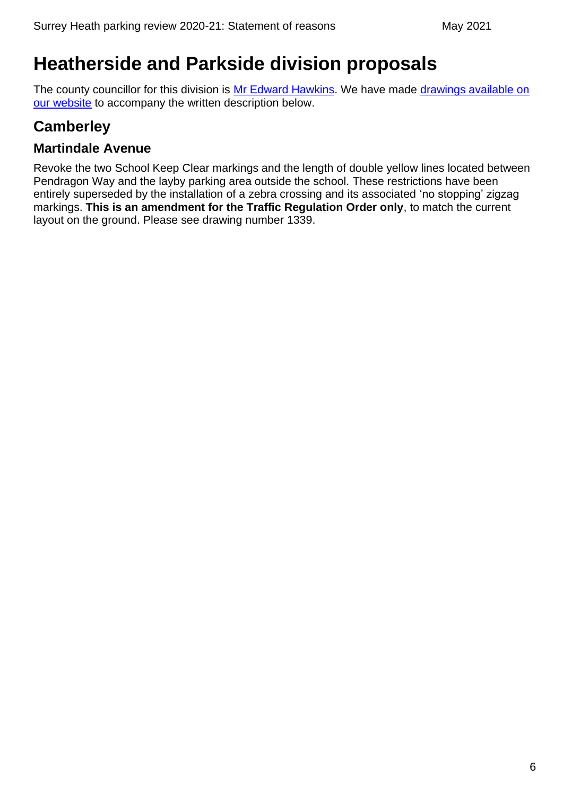# <span id="page-6-0"></span>**Heatherside and Parkside division proposals**

The county councillor for this division is [Mr Edward Hawkins.](https://mycouncil.surreycc.gov.uk/mgUserInfo.aspx?UID=2373) We have made [drawings available on](https://www.surreycc.gov.uk/roads-and-transport/parking/local-news-and-updates/surrey-heath/surrey-heath-parking-review-2020-21)  [our website](https://www.surreycc.gov.uk/roads-and-transport/parking/local-news-and-updates/surrey-heath/surrey-heath-parking-review-2020-21) to accompany the written description below.

# <span id="page-6-1"></span>**Camberley**

#### **Martindale Avenue**

Revoke the two School Keep Clear markings and the length of double yellow lines located between Pendragon Way and the layby parking area outside the school. These restrictions have been entirely superseded by the installation of a zebra crossing and its associated 'no stopping' zigzag markings. **This is an amendment for the Traffic Regulation Order only**, to match the current layout on the ground. Please see drawing number 1339.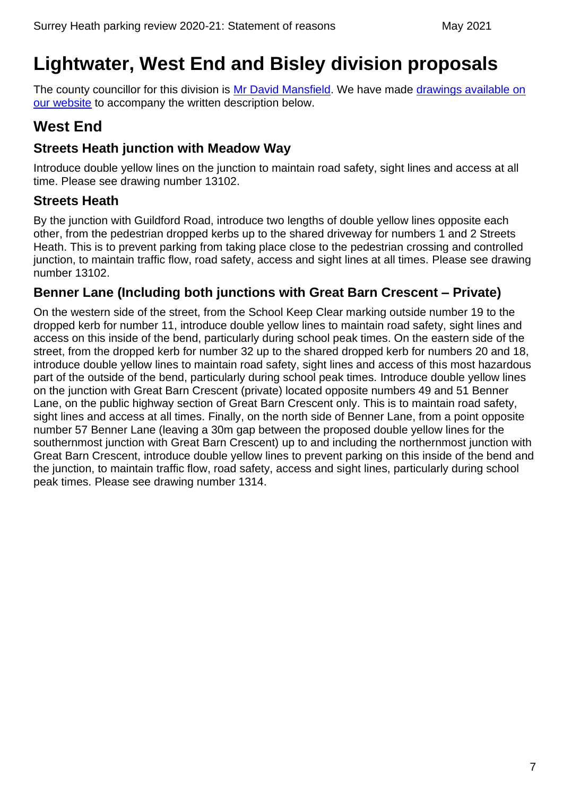# <span id="page-7-0"></span>**Lightwater, West End and Bisley division proposals**

The county councillor for this division is [Mr David Mansfield.](https://mycouncil.surreycc.gov.uk/mgUserInfo.aspx?UID=2258) We have made drawings available on [our website](https://www.surreycc.gov.uk/roads-and-transport/parking/local-news-and-updates/surrey-heath/surrey-heath-parking-review-2020-21) to accompany the written description below.

### <span id="page-7-1"></span>**West End**

#### **Streets Heath junction with Meadow Way**

Introduce double yellow lines on the junction to maintain road safety, sight lines and access at all time. Please see drawing number 13102.

#### **Streets Heath**

By the junction with Guildford Road, introduce two lengths of double yellow lines opposite each other, from the pedestrian dropped kerbs up to the shared driveway for numbers 1 and 2 Streets Heath. This is to prevent parking from taking place close to the pedestrian crossing and controlled junction, to maintain traffic flow, road safety, access and sight lines at all times. Please see drawing number 13102.

#### **Benner Lane (Including both junctions with Great Barn Crescent – Private)**

On the western side of the street, from the School Keep Clear marking outside number 19 to the dropped kerb for number 11, introduce double yellow lines to maintain road safety, sight lines and access on this inside of the bend, particularly during school peak times. On the eastern side of the street, from the dropped kerb for number 32 up to the shared dropped kerb for numbers 20 and 18, introduce double yellow lines to maintain road safety, sight lines and access of this most hazardous part of the outside of the bend, particularly during school peak times. Introduce double yellow lines on the junction with Great Barn Crescent (private) located opposite numbers 49 and 51 Benner Lane, on the public highway section of Great Barn Crescent only. This is to maintain road safety, sight lines and access at all times. Finally, on the north side of Benner Lane, from a point opposite number 57 Benner Lane (leaving a 30m gap between the proposed double yellow lines for the southernmost junction with Great Barn Crescent) up to and including the northernmost junction with Great Barn Crescent, introduce double yellow lines to prevent parking on this inside of the bend and the junction, to maintain traffic flow, road safety, access and sight lines, particularly during school peak times. Please see drawing number 1314.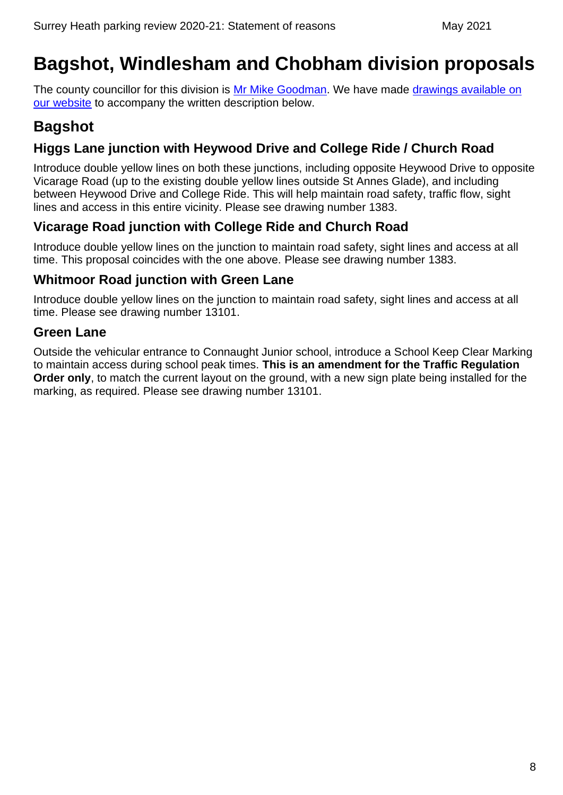# <span id="page-8-0"></span>**Bagshot, Windlesham and Chobham division proposals**

The county councillor for this division is [Mr Mike Goodman.](https://mycouncil.surreycc.gov.uk/mgUserInfo.aspx?UID=927) We have made drawings available on [our website](https://www.surreycc.gov.uk/roads-and-transport/parking/local-news-and-updates/surrey-heath/surrey-heath-parking-review-2020-21) to accompany the written description below.

# <span id="page-8-1"></span>**Bagshot**

#### **Higgs Lane junction with Heywood Drive and College Ride / Church Road**

Introduce double yellow lines on both these junctions, including opposite Heywood Drive to opposite Vicarage Road (up to the existing double yellow lines outside St Annes Glade), and including between Heywood Drive and College Ride. This will help maintain road safety, traffic flow, sight lines and access in this entire vicinity. Please see drawing number 1383.

#### **Vicarage Road junction with College Ride and Church Road**

Introduce double yellow lines on the junction to maintain road safety, sight lines and access at all time. This proposal coincides with the one above. Please see drawing number 1383.

#### **Whitmoor Road junction with Green Lane**

Introduce double yellow lines on the junction to maintain road safety, sight lines and access at all time. Please see drawing number 13101.

#### **Green Lane**

Outside the vehicular entrance to Connaught Junior school, introduce a School Keep Clear Marking to maintain access during school peak times. **This is an amendment for the Traffic Regulation Order only**, to match the current layout on the ground, with a new sign plate being installed for the marking, as required. Please see drawing number 13101.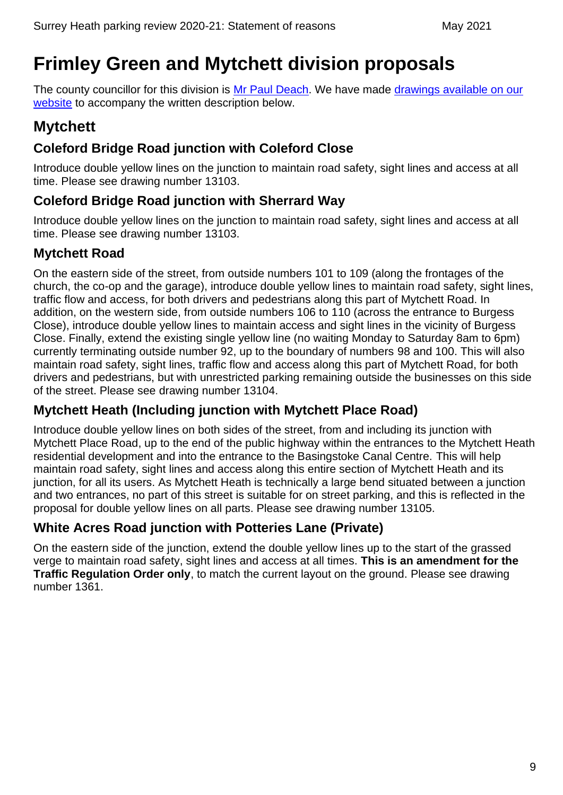# <span id="page-9-0"></span>**Frimley Green and Mytchett division proposals**

The county councillor for this division is [Mr Paul Deach.](https://mycouncil.surreycc.gov.uk/mgUserInfo.aspx?UID=2241) We have made [drawings available on our](https://www.surreycc.gov.uk/roads-and-transport/parking/local-news-and-updates/surrey-heath/surrey-heath-parking-review-2020-21)  [website](https://www.surreycc.gov.uk/roads-and-transport/parking/local-news-and-updates/surrey-heath/surrey-heath-parking-review-2020-21) to accompany the written description below.

### <span id="page-9-1"></span>**Mytchett**

#### **Coleford Bridge Road junction with Coleford Close**

Introduce double yellow lines on the junction to maintain road safety, sight lines and access at all time. Please see drawing number 13103.

#### **Coleford Bridge Road junction with Sherrard Way**

Introduce double yellow lines on the junction to maintain road safety, sight lines and access at all time. Please see drawing number 13103.

#### **Mytchett Road**

On the eastern side of the street, from outside numbers 101 to 109 (along the frontages of the church, the co-op and the garage), introduce double yellow lines to maintain road safety, sight lines, traffic flow and access, for both drivers and pedestrians along this part of Mytchett Road. In addition, on the western side, from outside numbers 106 to 110 (across the entrance to Burgess Close), introduce double yellow lines to maintain access and sight lines in the vicinity of Burgess Close. Finally, extend the existing single yellow line (no waiting Monday to Saturday 8am to 6pm) currently terminating outside number 92, up to the boundary of numbers 98 and 100. This will also maintain road safety, sight lines, traffic flow and access along this part of Mytchett Road, for both drivers and pedestrians, but with unrestricted parking remaining outside the businesses on this side of the street. Please see drawing number 13104.

#### **Mytchett Heath (Including junction with Mytchett Place Road)**

Introduce double yellow lines on both sides of the street, from and including its junction with Mytchett Place Road, up to the end of the public highway within the entrances to the Mytchett Heath residential development and into the entrance to the Basingstoke Canal Centre. This will help maintain road safety, sight lines and access along this entire section of Mytchett Heath and its junction, for all its users. As Mytchett Heath is technically a large bend situated between a junction and two entrances, no part of this street is suitable for on street parking, and this is reflected in the proposal for double yellow lines on all parts. Please see drawing number 13105.

#### **White Acres Road junction with Potteries Lane (Private)**

On the eastern side of the junction, extend the double yellow lines up to the start of the grassed verge to maintain road safety, sight lines and access at all times. **This is an amendment for the Traffic Regulation Order only**, to match the current layout on the ground. Please see drawing number 1361.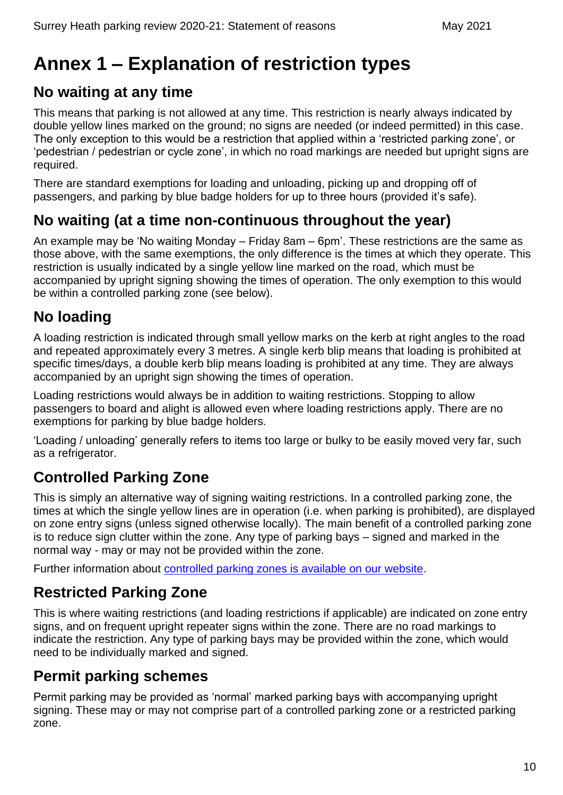# <span id="page-10-0"></span>**Annex 1 – Explanation of restriction types**

## <span id="page-10-1"></span>**No waiting at any time**

This means that parking is not allowed at any time. This restriction is nearly always indicated by double yellow lines marked on the ground; no signs are needed (or indeed permitted) in this case. The only exception to this would be a restriction that applied within a 'restricted parking zone', or 'pedestrian / pedestrian or cycle zone', in which no road markings are needed but upright signs are required.

There are standard exemptions for loading and unloading, picking up and dropping off of passengers, and parking by blue badge holders for up to three hours (provided it's safe).

# <span id="page-10-2"></span>**No waiting (at a time non-continuous throughout the year)**

An example may be 'No waiting Monday – Friday 8am – 6pm'. These restrictions are the same as those above, with the same exemptions, the only difference is the times at which they operate. This restriction is usually indicated by a single yellow line marked on the road, which must be accompanied by upright signing showing the times of operation. The only exemption to this would be within a controlled parking zone (see below).

# <span id="page-10-3"></span>**No loading**

A loading restriction is indicated through small yellow marks on the kerb at right angles to the road and repeated approximately every 3 metres. A single kerb blip means that loading is prohibited at specific times/days, a double kerb blip means loading is prohibited at any time. They are always accompanied by an upright sign showing the times of operation.

Loading restrictions would always be in addition to waiting restrictions. Stopping to allow passengers to board and alight is allowed even where loading restrictions apply. There are no exemptions for parking by blue badge holders.

'Loading / unloading' generally refers to items too large or bulky to be easily moved very far, such as a refrigerator.

# <span id="page-10-4"></span>**Controlled Parking Zone**

This is simply an alternative way of signing waiting restrictions. In a controlled parking zone, the times at which the single yellow lines are in operation (i.e. when parking is prohibited), are displayed on zone entry signs (unless signed otherwise locally). The main benefit of a controlled parking zone is to reduce sign clutter within the zone. Any type of parking bays – signed and marked in the normal way - may or may not be provided within the zone.

Further information about [controlled parking zones is available on our website.](https://www.surreycc.gov.uk/roads-and-transport/parking/restrictions-and-controls/controlled-parking-zones)

# <span id="page-10-5"></span>**Restricted Parking Zone**

This is where waiting restrictions (and loading restrictions if applicable) are indicated on zone entry signs, and on frequent upright repeater signs within the zone. There are no road markings to indicate the restriction. Any type of parking bays may be provided within the zone, which would need to be individually marked and signed.

### <span id="page-10-6"></span>**Permit parking schemes**

Permit parking may be provided as 'normal' marked parking bays with accompanying upright signing. These may or may not comprise part of a controlled parking zone or a restricted parking zone.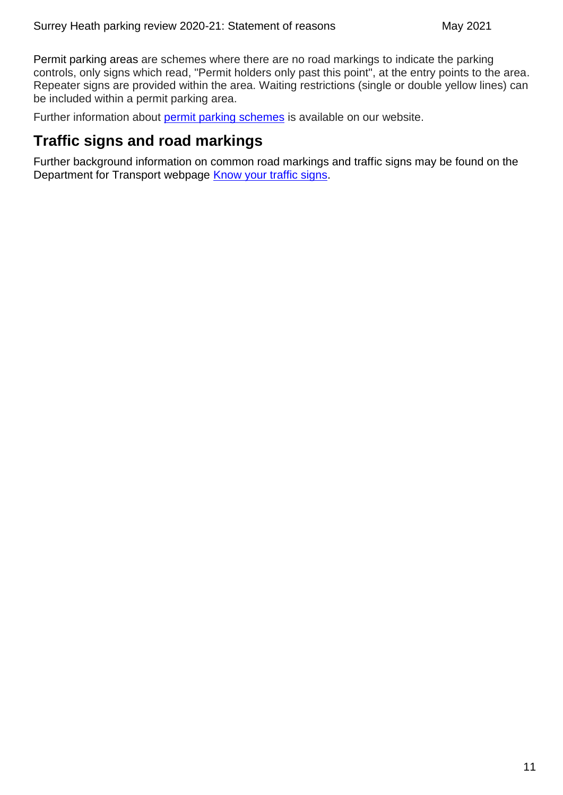Permit parking areas are schemes where there are no road markings to indicate the parking controls, only signs which read, "Permit holders only past this point", at the entry points to the area. Repeater signs are provided within the area. Waiting restrictions (single or double yellow lines) can be included within a permit parking area.

Further information about [permit parking schemes](https://www.surreycc.gov.uk/roads-and-transport/parking/restrictions-and-controls/permit-parking-schemes) is available on our website.

### <span id="page-11-0"></span>**Traffic signs and road markings**

Further background information on common road markings and traffic signs may be found on the Department for Transport webpage [Know your traffic signs.](https://www.gov.uk/government/publications/know-your-traffic-signs)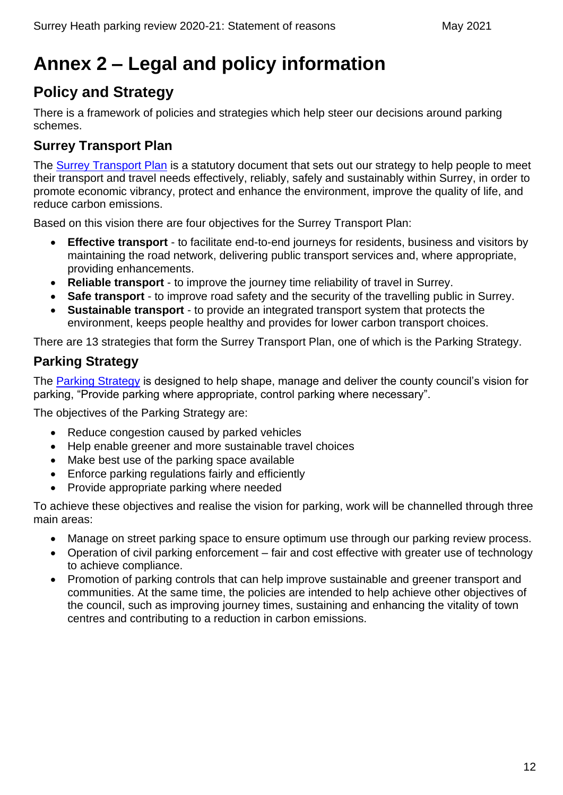# <span id="page-12-0"></span>**Annex 2 – Legal and policy information**

# <span id="page-12-1"></span>**Policy and Strategy**

There is a framework of policies and strategies which help steer our decisions around parking schemes.

#### **Surrey Transport Plan**

The [Surrey Transport Plan](https://www.surreycc.gov.uk/roads-and-transport/policies-plans-consultations/transport-plan) is a statutory document that sets out our strategy to help people to meet their transport and travel needs effectively, reliably, safely and sustainably within Surrey, in order to promote economic vibrancy, protect and enhance the environment, improve the quality of life, and reduce carbon emissions.

Based on this vision there are four objectives for the Surrey Transport Plan:

- **Effective transport** to facilitate end-to-end journeys for residents, business and visitors by maintaining the road network, delivering public transport services and, where appropriate, providing enhancements.
- **Reliable transport** to improve the journey time reliability of travel in Surrey.
- **Safe transport** to improve road safety and the security of the travelling public in Surrey.
- **Sustainable transport** to provide an integrated transport system that protects the environment, keeps people healthy and provides for lower carbon transport choices.

There are 13 strategies that form the Surrey Transport Plan, one of which is the Parking Strategy.

#### **Parking Strategy**

The [Parking Strategy](https://www.surreycc.gov.uk/roads-and-transport/policies-plans-consultations/transport-plan/surrey-transport-plan-strategies/parking-strategy) is designed to help shape, manage and deliver the county council's vision for parking, "Provide parking where appropriate, control parking where necessary".

The objectives of the Parking Strategy are:

- Reduce congestion caused by parked vehicles
- Help enable greener and more sustainable travel choices
- Make best use of the parking space available
- Enforce parking regulations fairly and efficiently
- Provide appropriate parking where needed

To achieve these objectives and realise the vision for parking, work will be channelled through three main areas:

- Manage on street parking space to ensure optimum use through our parking review process.
- Operation of civil parking enforcement fair and cost effective with greater use of technology to achieve compliance.
- Promotion of parking controls that can help improve sustainable and greener transport and communities. At the same time, the policies are intended to help achieve other objectives of the council, such as improving journey times, sustaining and enhancing the vitality of town centres and contributing to a reduction in carbon emissions.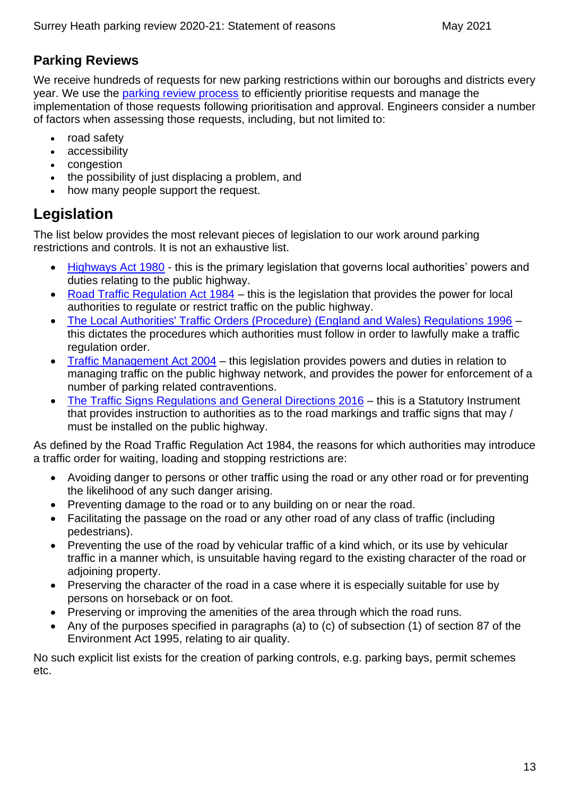#### **Parking Reviews**

We receive hundreds of requests for new parking restrictions within our boroughs and districts every year. We use the [parking review process](https://www.surreycc.gov.uk/roads-and-transport/parking/reviews) to efficiently prioritise requests and manage the implementation of those requests following prioritisation and approval. Engineers consider a number of factors when assessing those requests, including, but not limited to:

- road safety
- accessibility
- congestion
- the possibility of just displacing a problem, and
- how many people support the request.

# <span id="page-13-0"></span>**Legislation**

The list below provides the most relevant pieces of legislation to our work around parking restrictions and controls. It is not an exhaustive list.

- [Highways Act 1980](https://www.legislation.gov.uk/ukpga/1980/66/contents) this is the primary legislation that governs local authorities' powers and duties relating to the public highway.
- [Road Traffic Regulation Act 1984](https://www.legislation.gov.uk/ukpga/1984/27/contents) this is the legislation that provides the power for local authorities to regulate or restrict traffic on the public highway.
- [The Local Authorities' Traffic Orders \(Procedure\) \(England and Wales\) Regulations 1996](https://www.legislation.gov.uk/uksi/1996/2489/contents/made) this dictates the procedures which authorities must follow in order to lawfully make a traffic regulation order.
- [Traffic Management Act 2004](https://www.legislation.gov.uk/ukpga/2004/18/contents) this legislation provides powers and duties in relation to managing traffic on the public highway network, and provides the power for enforcement of a number of parking related contraventions.
- [The Traffic Signs Regulations and General Directions 2016](https://www.legislation.gov.uk/uksi/2016/362/contents/made) this is a Statutory Instrument that provides instruction to authorities as to the road markings and traffic signs that may / must be installed on the public highway.

As defined by the Road Traffic Regulation Act 1984, the reasons for which authorities may introduce a traffic order for waiting, loading and stopping restrictions are:

- Avoiding danger to persons or other traffic using the road or any other road or for preventing the likelihood of any such danger arising.
- Preventing damage to the road or to any building on or near the road.
- Facilitating the passage on the road or any other road of any class of traffic (including pedestrians).
- Preventing the use of the road by vehicular traffic of a kind which, or its use by vehicular traffic in a manner which, is unsuitable having regard to the existing character of the road or adjoining property.
- Preserving the character of the road in a case where it is especially suitable for use by persons on horseback or on foot.
- Preserving or improving the amenities of the area through which the road runs.
- Any of the purposes specified in paragraphs (a) to (c) of subsection (1) of section 87 of the Environment Act 1995, relating to air quality.

No such explicit list exists for the creation of parking controls, e.g. parking bays, permit schemes etc.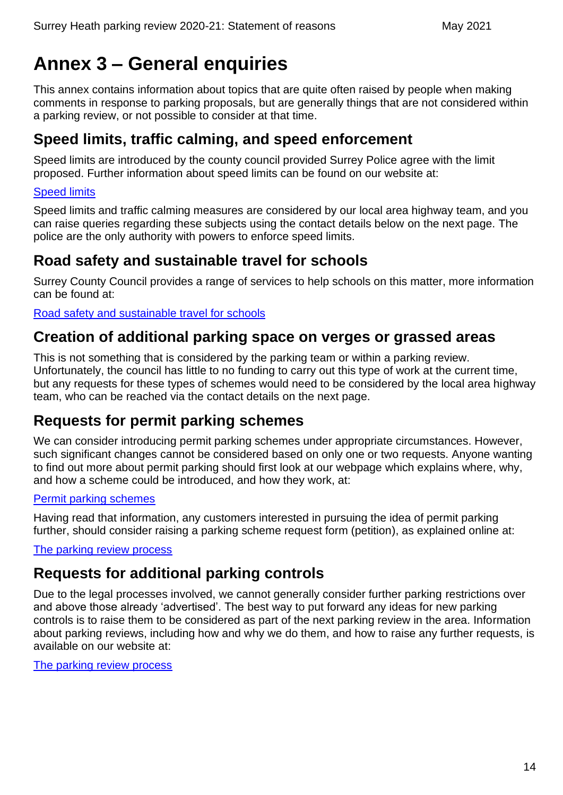# <span id="page-14-0"></span>**Annex 3 – General enquiries**

This annex contains information about topics that are quite often raised by people when making comments in response to parking proposals, but are generally things that are not considered within a parking review, or not possible to consider at that time.

### <span id="page-14-1"></span>**Speed limits, traffic calming, and speed enforcement**

Speed limits are introduced by the county council provided Surrey Police agree with the limit proposed. Further information about speed limits can be found on our website at:

#### [Speed limits](https://www.surreycc.gov.uk/roads-and-transport/road-safety/speed-limits)

Speed limits and traffic calming measures are considered by our local area highway team, and you can raise queries regarding these subjects using the contact details below on the next page. The police are the only authority with powers to enforce speed limits.

### <span id="page-14-2"></span>**Road safety and sustainable travel for schools**

Surrey County Council provides a range of services to help schools on this matter, more information can be found at:

[Road safety and sustainable travel for schools](https://www.surreycc.gov.uk/schools-and-learning/teachers-and-education-staff/road-safety-and-sustainable-travel-for-schools)

### <span id="page-14-3"></span>**Creation of additional parking space on verges or grassed areas**

This is not something that is considered by the parking team or within a parking review. Unfortunately, the council has little to no funding to carry out this type of work at the current time, but any requests for these types of schemes would need to be considered by the local area highway team, who can be reached via the contact details on the next page.

### <span id="page-14-4"></span>**Requests for permit parking schemes**

We can consider introducing permit parking schemes under appropriate circumstances. However, such significant changes cannot be considered based on only one or two requests. Anyone wanting to find out more about permit parking should first look at our webpage which explains where, why, and how a scheme could be introduced, and how they work, at:

#### [Permit parking schemes](https://www.surreycc.gov.uk/roads-and-transport/parking/restrictions-and-controls/permit-parking-schemes)

Having read that information, any customers interested in pursuing the idea of permit parking further, should consider raising a parking scheme request form (petition), as explained online at:

[The parking review process](https://www.surreycc.gov.uk/roads-and-transport/parking/reviews)

# <span id="page-14-5"></span>**Requests for additional parking controls**

Due to the legal processes involved, we cannot generally consider further parking restrictions over and above those already 'advertised'. The best way to put forward any ideas for new parking controls is to raise them to be considered as part of the next parking review in the area. Information about parking reviews, including how and why we do them, and how to raise any further requests, is available on our website at:

[The parking review process](https://www.surreycc.gov.uk/roads-and-transport/parking/reviews)